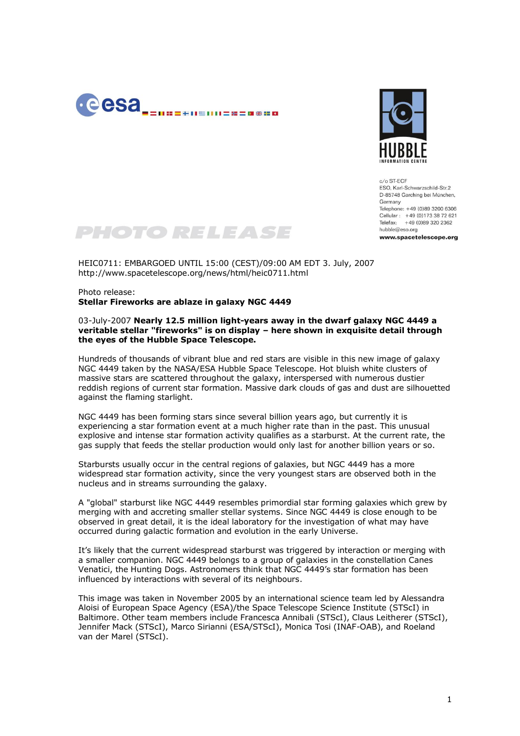



 $c/a$  ST-FCF ESO, Karl-Schwarzschild-Str.2 D-85748 Garching bei München, Germany Telephone: +49 (0)89 3200 6306 Cellular: +49 (0)173 38 72 621 Telefax: +49 (0)89 320 2362  $huhhle@esso.$ org www.spacetelescope.org



HEIC0711: EMBARGOED UNTIL 15:00 (CEST)/09:00 AM EDT 3. July, 2007 http://www.spacetelescope.org/news/html/heic0711.html

Photo release: **Stellar Fireworks are ablaze in galaxy NGC 4449**

## 03-July-2007 **Nearly 12.5 million light-years away in the dwarf galaxy NGC 4449 a veritable stellar "fireworks" is on display – here shown in exquisite detail through the eyes of the Hubble Space Telescope.**

Hundreds of thousands of vibrant blue and red stars are visible in this new image of galaxy NGC 4449 taken by the NASA/ESA Hubble Space Telescope. Hot bluish white clusters of massive stars are scattered throughout the galaxy, interspersed with numerous dustier reddish regions of current star formation. Massive dark clouds of gas and dust are silhouetted against the flaming starlight.

NGC 4449 has been forming stars since several billion years ago, but currently it is experiencing a star formation event at a much higher rate than in the past. This unusual explosive and intense star formation activity qualifies as a starburst. At the current rate, the gas supply that feeds the stellar production would only last for another billion years or so.

Starbursts usually occur in the central regions of galaxies, but NGC 4449 has a more widespread star formation activity, since the very youngest stars are observed both in the nucleus and in streams surrounding the galaxy.

A "global" starburst like NGC 4449 resembles primordial star forming galaxies which grew by merging with and accreting smaller stellar systems. Since NGC 4449 is close enough to be observed in great detail, it is the ideal laboratory for the investigation of what may have occurred during galactic formation and evolution in the early Universe.

It's likely that the current widespread starburst was triggered by interaction or merging with a smaller companion. NGC 4449 belongs to a group of galaxies in the constellation Canes Venatici, the Hunting Dogs. Astronomers think that NGC 4449's star formation has been influenced by interactions with several of its neighbours.

This image was taken in November 2005 by an international science team led by Alessandra Aloisi of European Space Agency (ESA)/the Space Telescope Science Institute (STScI) in Baltimore. Other team members include Francesca Annibali (STScI), Claus Leitherer (STScI), Jennifer Mack (STScI), Marco Sirianni (ESA/STScI), Monica Tosi (INAF-OAB), and Roeland van der Marel (STScI).